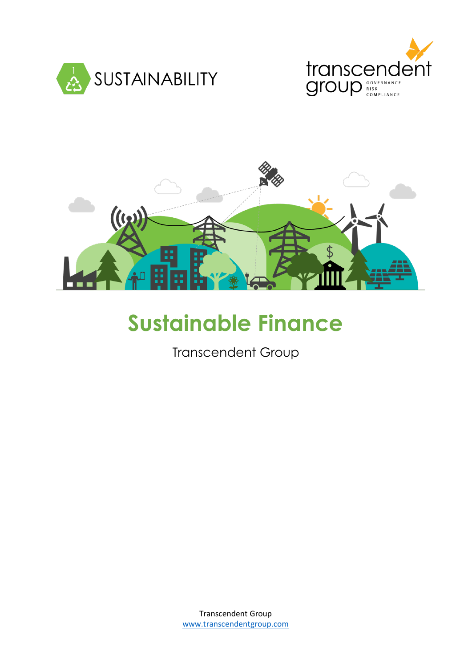





# **Sustainable Finance**

Transcendent Group

Transcendent Group [www.transcendentgroup.com](http://www.transcendentgroup.com/)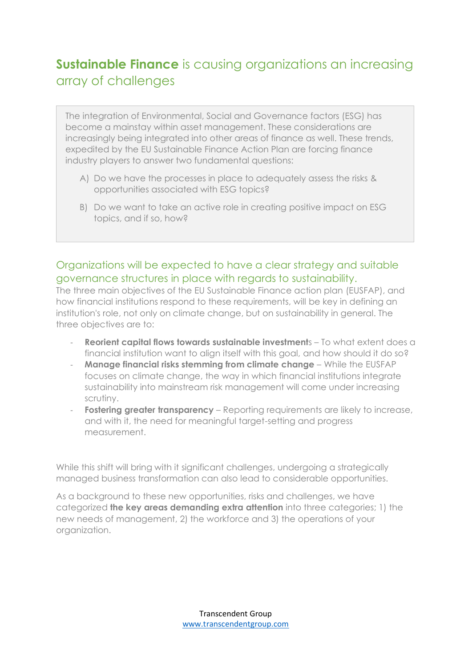## **Sustainable Finance** is causing organizations an increasing array of challenges

The integration of Environmental, Social and Governance factors (ESG) has become a mainstay within asset management. These considerations are increasingly being integrated into other areas of finance as well. These trends, expedited by the EU Sustainable Finance Action Plan are forcing finance industry players to answer two fundamental questions:

- A) Do we have the processes in place to adequately assess the risks & opportunities associated with ESG topics?
- B) Do we want to take an active role in creating positive impact on ESG topics, and if so, how?

## Organizations will be expected to have a clear strategy and suitable governance structures in place with regards to sustainability.

The three main objectives of the EU Sustainable Finance action plan (EUSFAP), and how financial institutions respond to these requirements, will be key in defining an institution's role, not only on climate change, but on sustainability in general. The three objectives are to:

- **Reorient capital flows towards sustainable investment**s To what extent does a financial institution want to align itself with this goal, and how should it do so?
- **Manage financial risks stemming from climate change** While the EUSFAP focuses on climate change, the way in which financial institutions integrate sustainability into mainstream risk management will come under increasing scrutiny.
- **Fostering greater transparency** Reporting requirements are likely to increase, and with it, the need for meaningful target-setting and progress measurement.

While this shift will bring with it significant challenges, undergoing a strategically managed business transformation can also lead to considerable opportunities.

As a background to these new opportunities, risks and challenges, we have categorized **the key areas demanding extra attention** into three categories; 1) the new needs of management, 2) the workforce and 3) the operations of your organization.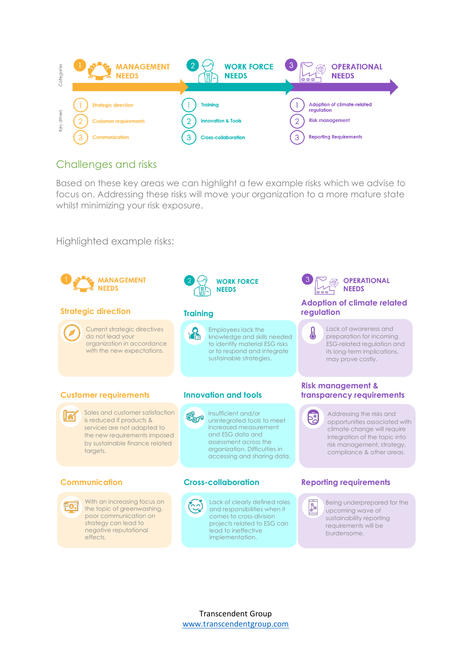

## Challenges and risks

Based on these key areas we can highlight a few example risks which we advise to focus on. Addressing these risks will move your organization to a more mature state whilst minimizing your risk exposure.

Highlighted example risks:

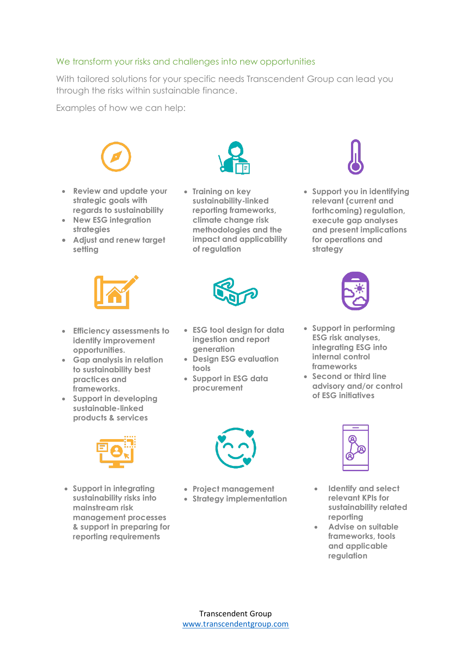### We transform your risks and challenges into new opportunities

With tailored solutions for your specific needs Transcendent Group can lead you through the risks within sustainable finance.

Examples of how we can help:



- **Review and update your strategic goals with regards to sustainability**
- **New ESG integration strategies**
- **Adjust and renew target setting**



• **Training on key sustainability-linked reporting frameworks, climate change risk methodologies and the impact and applicability of regulation**



• **Support you in identifying relevant (current and forthcoming) regulation, execute gap analyses and present implications for operations and strategy** 





- **Efficiency assessments to identify improvement opportunities.**
- **Gap analysis in relation to sustainability best practices and frameworks.**
- **Support in developing sustainable-linked products & services**



• **Support in integrating sustainability risks into mainstream risk management processes & support in preparing for reporting requirements**

- **ESG tool design for data ingestion and report generation**
- **Design ESG evaluation tools**
- **Support in ESG data procurement**
- **Support in performing ESG risk analyses, integrating ESG into internal control frameworks**
- **Second or third line advisory and/or control of ESG initiatives**



• **Project management** • **Strategy implementation**



- **Identify and select relevant KPIs for sustainability related reporting**
- **Advise on suitable frameworks, tools and applicable regulation**